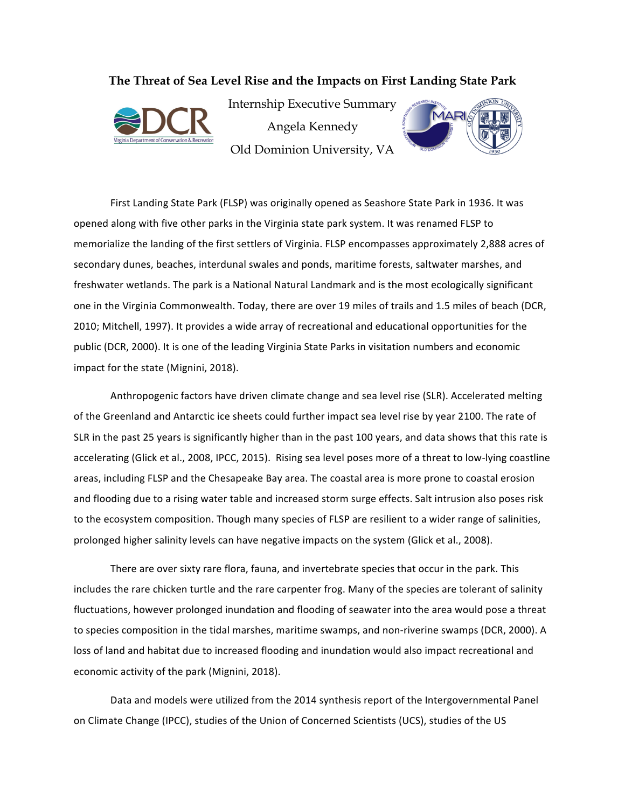**The Threat of Sea Level Rise and the Impacts on First Landing State Park**



Internship Executive Summary Angela Kennedy Old Dominion University, VA



First Landing State Park (FLSP) was originally opened as Seashore State Park in 1936. It was opened along with five other parks in the Virginia state park system. It was renamed FLSP to memorialize the landing of the first settlers of Virginia. FLSP encompasses approximately 2,888 acres of secondary dunes, beaches, interdunal swales and ponds, maritime forests, saltwater marshes, and freshwater wetlands. The park is a National Natural Landmark and is the most ecologically significant one in the Virginia Commonwealth. Today, there are over 19 miles of trails and 1.5 miles of beach (DCR, 2010; Mitchell, 1997). It provides a wide array of recreational and educational opportunities for the public (DCR, 2000). It is one of the leading Virginia State Parks in visitation numbers and economic impact for the state (Mignini, 2018).

Anthropogenic factors have driven climate change and sea level rise (SLR). Accelerated melting of the Greenland and Antarctic ice sheets could further impact sea level rise by year 2100. The rate of SLR in the past 25 years is significantly higher than in the past 100 years, and data shows that this rate is accelerating (Glick et al., 2008, IPCC, 2015). Rising sea level poses more of a threat to low-lying coastline areas, including FLSP and the Chesapeake Bay area. The coastal area is more prone to coastal erosion and flooding due to a rising water table and increased storm surge effects. Salt intrusion also poses risk to the ecosystem composition. Though many species of FLSP are resilient to a wider range of salinities, prolonged higher salinity levels can have negative impacts on the system (Glick et al., 2008).

There are over sixty rare flora, fauna, and invertebrate species that occur in the park. This includes the rare chicken turtle and the rare carpenter frog. Many of the species are tolerant of salinity fluctuations, however prolonged inundation and flooding of seawater into the area would pose a threat to species composition in the tidal marshes, maritime swamps, and non-riverine swamps (DCR, 2000). A loss of land and habitat due to increased flooding and inundation would also impact recreational and economic activity of the park (Mignini, 2018).

Data and models were utilized from the 2014 synthesis report of the Intergovernmental Panel on Climate Change (IPCC), studies of the Union of Concerned Scientists (UCS), studies of the US